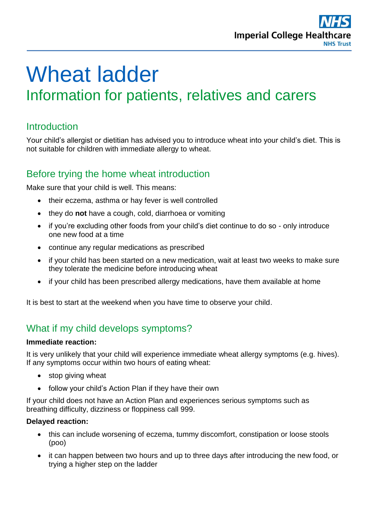

# Wheat ladder Information for patients, relatives and carers

# **Introduction**

Your child's allergist or dietitian has advised you to introduce wheat into your child's diet. This is not suitable for children with immediate allergy to wheat.

# Before trying the home wheat introduction

Make sure that your child is well. This means:

- their eczema, asthma or hay fever is well controlled
- they do **not** have a cough, cold, diarrhoea or vomiting
- if you're excluding other foods from your child's diet continue to do so only introduce one new food at a time
- continue any regular medications as prescribed
- if your child has been started on a new medication, wait at least two weeks to make sure they tolerate the medicine before introducing wheat
- if your child has been prescribed allergy medications, have them available at home

It is best to start at the weekend when you have time to observe your child.

# What if my child develops symptoms?

#### **Immediate reaction:**

It is very unlikely that your child will experience immediate wheat allergy symptoms (e.g. hives). If any symptoms occur within two hours of eating wheat:

- stop giving wheat
- follow your child's Action Plan if they have their own

If your child does not have an Action Plan and experiences serious symptoms such as breathing difficulty, dizziness or floppiness call 999.

#### **Delayed reaction:**

- this can include worsening of eczema, tummy discomfort, constipation or loose stools (poo)
- it can happen between two hours and up to three days after introducing the new food, or trying a higher step on the ladder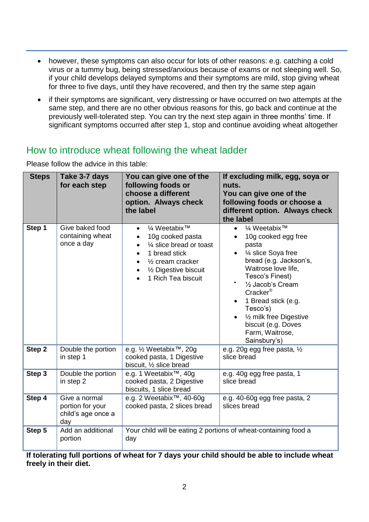- however, these symptoms can also occur for lots of other reasons: e.g. catching a cold virus or a tummy bug, being stressed/anxious because of exams or not sleeping well. So, if your child develops delayed symptoms and their symptoms are mild, stop giving wheat for three to five days, until they have recovered, and then try the same step again
- if their symptoms are significant, very distressing or have occurred on two attempts at the same step, and there are no other obvious reasons for this, go back and continue at the previously well-tolerated step. You can try the next step again in three months' time. If significant symptoms occurred after step 1, stop and continue avoiding wheat altogether

# How to introduce wheat following the wheat ladder

Please follow the advice in this table:

| <b>Steps</b>      | Take 3-7 days<br>for each step                                 | You can give one of the<br>following foods or<br>choose a different<br>option. Always check<br>the label                                                                                                                                   | If excluding milk, egg, soya or<br>nuts.<br>You can give one of the<br>following foods or choose a<br>different option. Always check<br>the label                                                                                                                                                                                                                |
|-------------------|----------------------------------------------------------------|--------------------------------------------------------------------------------------------------------------------------------------------------------------------------------------------------------------------------------------------|------------------------------------------------------------------------------------------------------------------------------------------------------------------------------------------------------------------------------------------------------------------------------------------------------------------------------------------------------------------|
| Step 1            | Give baked food<br>containing wheat<br>once a day              | 1⁄4 Weetabix™<br>$\bullet$<br>10g cooked pasta<br>$\bullet$<br>1/4 slice bread or toast<br>$\bullet$<br>1 bread stick<br>$\bullet$<br>$\frac{1}{2}$ cream cracker<br>$\bullet$<br>1/2 Digestive biscuit<br>$\bullet$<br>1 Rich Tea biscuit | 1⁄4 Weetabix™<br>$\bullet$<br>10g cooked egg free<br>$\bullet$<br>pasta<br>1⁄4 slice Soya free<br>bread (e.g. Jackson's,<br>Waitrose love life,<br>Tesco's Finest)<br>1/2 Jacob's Cream<br>Cracker <sup>®</sup><br>1 Bread stick (e.g.<br>Tesco's)<br>1/ <sub>2</sub> milk free Digestive<br>$\bullet$<br>biscuit (e.g. Doves<br>Farm, Waitrose,<br>Sainsbury's) |
| Step <sub>2</sub> | Double the portion<br>in step 1                                | e.g. 1/2 Weetabix™, 20g<br>cooked pasta, 1 Digestive<br>biscuit, 1/2 slice bread                                                                                                                                                           | e.g. 20g egg free pasta, $\frac{1}{2}$<br>slice bread                                                                                                                                                                                                                                                                                                            |
| Step 3            | Double the portion<br>in step 2                                | e.g. 1 Weetabix™, 40g<br>cooked pasta, 2 Digestive<br>biscuits, 1 slice bread                                                                                                                                                              | e.g. 40g egg free pasta, 1<br>slice bread                                                                                                                                                                                                                                                                                                                        |
| Step 4            | Give a normal<br>portion for your<br>child's age once a<br>day | e.g. 2 Weetabix <sup>™</sup> , 40-60g<br>cooked pasta, 2 slices bread                                                                                                                                                                      | e.g. 40-60g egg free pasta, 2<br>slices bread                                                                                                                                                                                                                                                                                                                    |
| Step 5            | Add an additional<br>portion                                   | Your child will be eating 2 portions of wheat-containing food a<br>day                                                                                                                                                                     |                                                                                                                                                                                                                                                                                                                                                                  |

**If tolerating full portions of wheat for 7 days your child should be able to include wheat freely in their diet.**